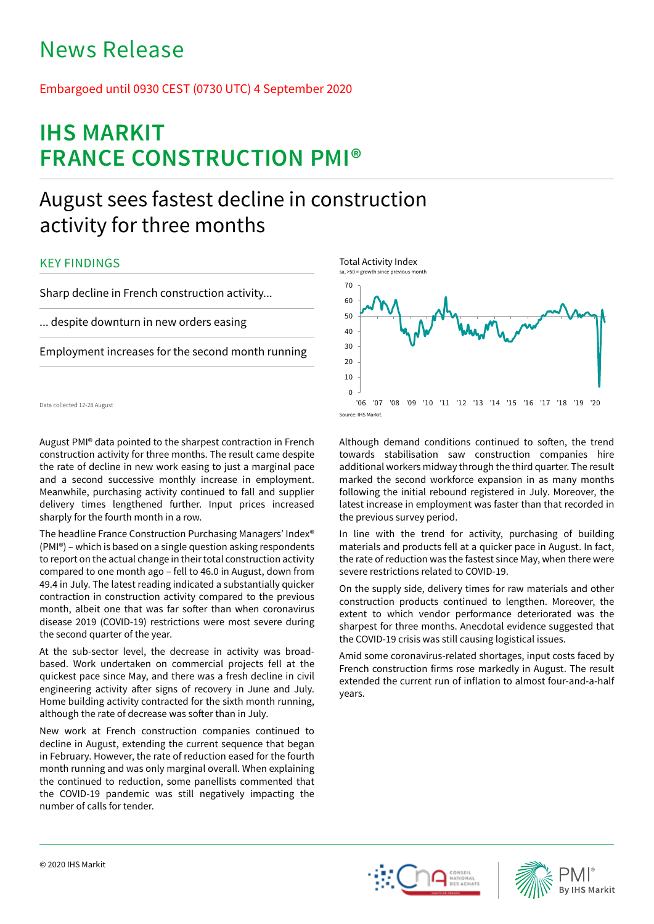# News Release

## Embargoed until 0930 CEST (0730 UTC) 4 September 2020

# **IHS MARKIT FRANCE CONSTRUCTION PMI®**

## August sees fastest decline in construction activity for three months

## KEY FINDINGS

Sharp decline in French construction activity...

... despite downturn in new orders easing

Employment increases for the second month running

Data collected 12-28 August

August PMI® data pointed to the sharpest contraction in French construction activity for three months. The result came despite the rate of decline in new work easing to just a marginal pace and a second successive monthly increase in employment. Meanwhile, purchasing activity continued to fall and supplier delivery times lengthened further. Input prices increased sharply for the fourth month in a row.

The headline France Construction Purchasing Managers' Index® (PMI®) – which is based on a single question asking respondents to report on the actual change in their total construction activity compared to one month ago – fell to 46.0 in August, down from 49.4 in July. The latest reading indicated a substantially quicker contraction in construction activity compared to the previous month, albeit one that was far softer than when coronavirus disease 2019 (COVID-19) restrictions were most severe during the second quarter of the year.

At the sub-sector level, the decrease in activity was broadbased. Work undertaken on commercial projects fell at the quickest pace since May, and there was a fresh decline in civil engineering activity after signs of recovery in June and July. Home building activity contracted for the sixth month running, although the rate of decrease was softer than in July.

New work at French construction companies continued to decline in August, extending the current sequence that began in February. However, the rate of reduction eased for the fourth month running and was only marginal overall. When explaining the continued to reduction, some panellists commented that the COVID-19 pandemic was still negatively impacting the number of calls for tender.



Although demand conditions continued to soften, the trend towards stabilisation saw construction companies hire additional workers midway through the third quarter. The result marked the second workforce expansion in as many months following the initial rebound registered in July. Moreover, the latest increase in employment was faster than that recorded in the previous survey period.

In line with the trend for activity, purchasing of building materials and products fell at a quicker pace in August. In fact, the rate of reduction was the fastest since May, when there were severe restrictions related to COVID-19.

On the supply side, delivery times for raw materials and other construction products continued to lengthen. Moreover, the extent to which vendor performance deteriorated was the sharpest for three months. Anecdotal evidence suggested that the COVID-19 crisis was still causing logistical issues.

Amid some coronavirus-related shortages, input costs faced by French construction firms rose markedly in August. The result extended the current run of inflation to almost four-and-a-half years.